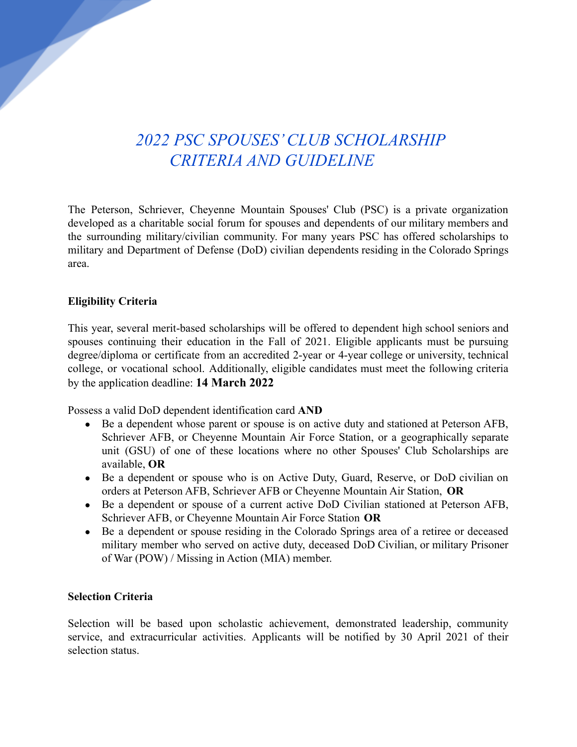## *2022 PSC SPOUSES' CLUB SCHOLARSHIP CRITERIA AND GUIDELINE*

The Peterson, Schriever, Cheyenne Mountain Spouses' Club (PSC) is a private organization developed as a charitable social forum for spouses and dependents of our military members and the surrounding military/civilian community. For many years PSC has offered scholarships to military and Department of Defense (DoD) civilian dependents residing in the Colorado Springs area.

## **Eligibility Criteria**

This year, several merit-based scholarships will be offered to dependent high school seniors and spouses continuing their education in the Fall of 2021. Eligible applicants must be pursuing degree/diploma or certificate from an accredited 2-year or 4-year college or university, technical college, or vocational school. Additionally, eligible candidates must meet the following criteria by the application deadline: **14 March 2022**

Possess a valid DoD dependent identification card **AND**

- **●** Be a dependent whose parent or spouse is on active duty and stationed at Peterson AFB, Schriever AFB, or Cheyenne Mountain Air Force Station, or a geographically separate unit (GSU) of one of these locations where no other Spouses' Club Scholarships are available, **OR**
- Be a dependent or spouse who is on Active Duty, Guard, Reserve, or DoD civilian on orders at Peterson AFB, Schriever AFB or Cheyenne Mountain Air Station, **OR**
- Be a dependent or spouse of a current active DoD Civilian stationed at Peterson AFB, Schriever AFB, or Cheyenne Mountain Air Force Station **OR**
- Be a dependent or spouse residing in the Colorado Springs area of a retiree or deceased military member who served on active duty, deceased DoD Civilian, or military Prisoner of War (POW) / Missing in Action (MIA) member.

## **Selection Criteria**

Selection will be based upon scholastic achievement, demonstrated leadership, community service, and extracurricular activities. Applicants will be notified by 30 April 2021 of their selection status.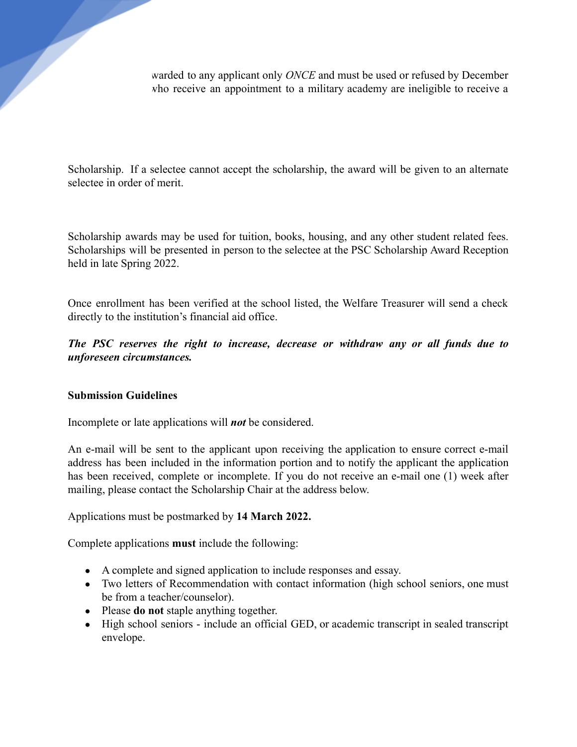warded to any applicant only *ONCE* and must be used or refused by December *rho* receive an appointment to a military academy are ineligible to receive a

Scholarship. If a selectee cannot accept the scholarship, the award will be given to an alternate selectee in order of merit.

Scholarship awards may be used for tuition, books, housing, and any other student related fees. Scholarships will be presented in person to the selectee at the PSC Scholarship Award Reception held in late Spring 2022.

Once enrollment has been verified at the school listed, the Welfare Treasurer will send a check directly to the institution's financial aid office.

*The PSC reserves the right to increase, decrease or withdraw any or all funds due to unforeseen circumstances.*

## **Submission Guidelines**

Incomplete or late applications will *not* be considered.

An e-mail will be sent to the applicant upon receiving the application to ensure correct e-mail address has been included in the information portion and to notify the applicant the application has been received, complete or incomplete. If you do not receive an e-mail one (1) week after mailing, please contact the Scholarship Chair at the address below.

Applications must be postmarked by **14 March 2022.**

Complete applications **must** include the following:

- A complete and signed application to include responses and essay.
- Two letters of Recommendation with contact information (high school seniors, one must be from a teacher/counselor).
- Please **do not** staple anything together.
- High school seniors include an official GED, or academic transcript in sealed transcript envelope.